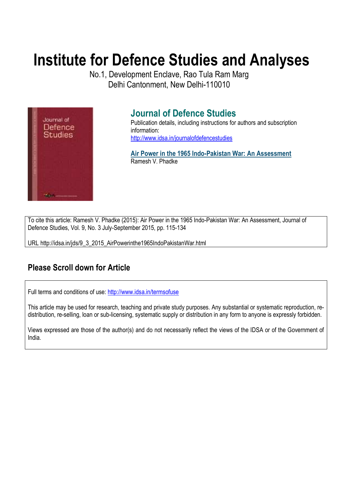# **Institute for Defence Studies and Analyses**

No.1, Development Enclave, Rao Tula Ram Marg Delhi Cantonment, New Delhi-110010



## **Journal of Defence Studies**

Publication details, including instructions for authors and subscription information: http://www.idsa.in/journalofdefencestudies

**Air Power in the 1965 Indo-Pakistan War: An Assessment**  Ramesh V. Phadke

To cite this article: Ramesh V. Phadke (2015): Air Power in the 1965 Indo-Pakistan War: An Assessment, Journal of Defence Studies, Vol. 9, No. 3 July-September 2015, pp. 115-134

URL http://idsa.in/jds/9\_3\_2015\_AirPowerinthe1965IndoPakistanWar.html

## **Please Scroll down for Article**

Full terms and conditions of use: http://www.idsa.in/termsofuse

This article may be used for research, teaching and private study purposes. Any substantial or systematic reproduction, redistribution, re-selling, loan or sub-licensing, systematic supply or distribution in any form to anyone is expressly forbidden.

Views expressed are those of the author(s) and do not necessarily reflect the views of the IDSA or of the Government of India.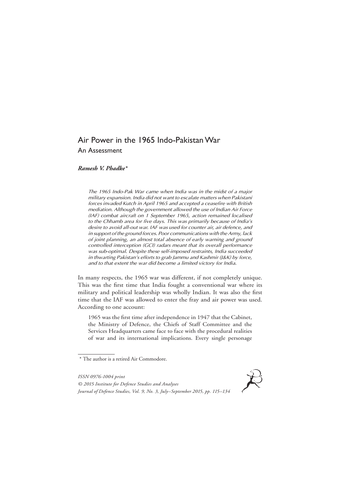### Air Power in the 1965 Indo-Pakistan War An Assessment

*Ramesh V. Phadke\**

*The 1965 Indo-Pak War came when India was in the midst of a major military expansion. India did not want to escalate matters when Pakistani forces invaded Kutch in April 1965 and accepted a ceasefire with British mediation. Although the government allowed the use of Indian Air Force (IAF) combat aircraft on 1 September 1965, action remained localised to the Chhamb area for five days. This was primarily because of India's desire to avoid all-out war. IAF was used for counter air, air defence, and in support of the ground forces. Poor communications with the Army, lack of joint planning, an almost total absence of early warning and ground controlled interception (GCI) radars meant that its overall performance was sub-optimal. Despite these self-imposed restraints, India succeeded in thwarting Pakistan's efforts to grab Jammu and Kashmir (J&K) by force, and to that extent the war did become a limited victory for India.*

In many respects, the 1965 war was different, if not completely unique. This was the first time that India fought a conventional war where its military and political leadership was wholly Indian. It was also the first time that the IAF was allowed to enter the fray and air power was used. According to one account:

1965 was the first time after independence in 1947 that the Cabinet, the Ministry of Defence, the Chiefs of Staff Committee and the Services Headquarters came face to face with the procedural realities of war and its international implications. Every single personage

<sup>\*</sup> The author is a retired Air Commodore.



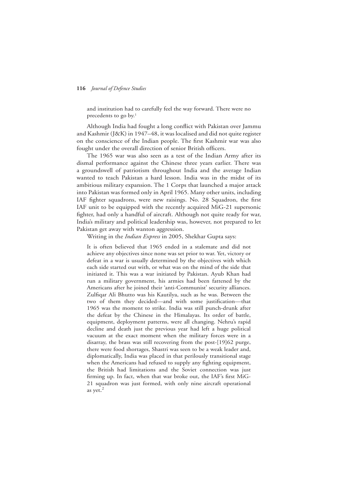and institution had to carefully feel the way forward. There were no precedents to go by.<sup>1</sup>

Although India had fought a long conflict with Pakistan over Jammu and Kashmir (J&K) in 1947–48, it was localised and did not quite register on the conscience of the Indian people. The first Kashmir war was also fought under the overall direction of senior British officers.

The 1965 war was also seen as a test of the Indian Army after its dismal performance against the Chinese three years earlier. There was a groundswell of patriotism throughout India and the average Indian wanted to teach Pakistan a hard lesson. India was in the midst of its ambitious military expansion. The 1 Corps that launched a major attack into Pakistan was formed only in April 1965. Many other units, including IAF fighter squadrons, were new raisings. No. 28 Squadron, the first IAF unit to be equipped with the recently acquired MiG-21 supersonic fighter, had only a handful of aircraft. Although not quite ready for war, India's military and political leadership was, however, not prepared to let Pakistan get away with wanton aggression.

Writing in the *Indian Express* in 2005, Shekhar Gupta says:

It is often believed that 1965 ended in a stalemate and did not achieve any objectives since none was set prior to war. Yet, victory or defeat in a war is usually determined by the objectives with which each side started out with, or what was on the mind of the side that initiated it. This was a war initiated by Pakistan. Ayub Khan had run a military government, his armies had been fattened by the Americans after he joined their 'anti-Communist' security alliances. Zulfiqar Ali Bhutto was his Kautilya, such as he was. Between the two of them they decided—and with some justification—that 1965 was the moment to strike. India was still punch-drunk after the defeat by the Chinese in the Himalayas. Its order of battle, equipment, deployment patterns, were all changing. Nehru's rapid decline and death just the previous year had left a huge political vacuum at the exact moment when the military forces were in a disarray, the brass was still recovering from the post-[19]62 purge, there were food shortages, Shastri was seen to be a weak leader and, diplomatically, India was placed in that perilously transitional stage when the Americans had refused to supply any fighting equipment, the British had limitations and the Soviet connection was just firming up. In fact, when that war broke out, the IAF's first MiG-21 squadron was just formed, with only nine aircraft operational as yet. 2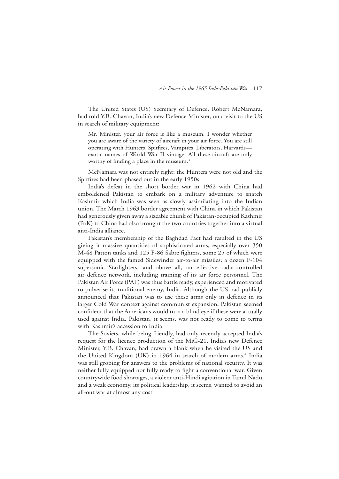The United States (US) Secretary of Defence, Robert McNamara, had told Y.B. Chavan, India's new Defence Minister, on a visit to the US in search of military equipment:

Mr. Minister, your air force is like a museum. I wonder whether you are aware of the variety of aircraft in your air force. You are still operating with Hunters, Spitfires, Vampires, Liberators, Harvards exotic names of World War II vintage. All these aircraft are only worthy of finding a place in the museum.<sup>3</sup>

McNamara was not entirely right; the Hunters were not old and the Spitfires had been phased out in the early 1950s.

India's defeat in the short border war in 1962 with China had emboldened Pakistan to embark on a military adventure to snatch Kashmir which India was seen as slowly assimilating into the Indian union. The March 1963 border agreement with China in which Pakistan had generously given away a sizeable chunk of Pakistan-occupied Kashmir (PoK) to China had also brought the two countries together into a virtual anti-India alliance.

Pakistan's membership of the Baghdad Pact had resulted in the US giving it massive quantities of sophisticated arms, especially over 350 M-48 Patton tanks and 125 F-86 Sabre fighters, some 25 of which were equipped with the famed Sidewinder air-to-air missiles; a dozen F-104 supersonic Starfighters; and above all, an effective radar-controlled air defence network, including training of its air force personnel. The Pakistan Air Force (PAF) was thus battle ready, experienced and motivated to pulverise its traditional enemy, India. Although the US had publicly announced that Pakistan was to use these arms only in defence in its larger Cold War context against communist expansion, Pakistan seemed confident that the Americans would turn a blind eye if these were actually used against India. Pakistan, it seems, was not ready to come to terms with Kashmir's accession to India.

The Soviets, while being friendly, had only recently accepted India's request for the licence production of the MiG-21. India's new Defence Minister, Y.B. Chavan, had drawn a blank when he visited the US and the United Kingdom (UK) in 1964 in search of modern arms.<sup>4</sup> India was still groping for answers to the problems of national security. It was neither fully equipped nor fully ready to fight a conventional war. Given countrywide food shortages, a violent anti-Hindi agitation in Tamil Nadu and a weak economy, its political leadership, it seems, wanted to avoid an all-out war at almost any cost.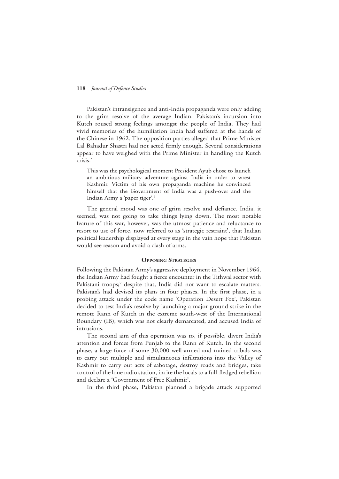Pakistan's intransigence and anti-India propaganda were only adding to the grim resolve of the average Indian. Pakistan's incursion into Kutch roused strong feelings amongst the people of India. They had vivid memories of the humiliation India had suffered at the hands of the Chinese in 1962. The opposition parties alleged that Prime Minister Lal Bahadur Shastri had not acted firmly enough. Several considerations appear to have weighed with the Prime Minister in handling the Kutch crisis.5

This was the psychological moment President Ayub chose to launch an ambitious military adventure against India in order to wrest Kashmir. Victim of his own propaganda machine he convinced himself that the Government of India was a push-over and the Indian Army a 'paper tiger'.6

The general mood was one of grim resolve and defiance. India, it seemed, was not going to take things lying down. The most notable feature of this war, however, was the utmost patience and reluctance to resort to use of force, now referred to as 'strategic restraint', that Indian political leadership displayed at every stage in the vain hope that Pakistan would see reason and avoid a clash of arms.

#### **Opposing Strategies**

Following the Pakistan Army's aggressive deployment in November 1964, the Indian Army had fought a fierce encounter in the Tithwal sector with Pakistani troops;<sup>7</sup> despite that, India did not want to escalate matters. Pakistan's had devised its plans in four phases. In the first phase, in a probing attack under the code name 'Operation Desert Fox', Pakistan decided to test India's resolve by launching a major ground strike in the remote Rann of Kutch in the extreme south-west of the International Boundary (IB), which was not clearly demarcated, and accused India of intrusions.

The second aim of this operation was to, if possible, divert India's attention and forces from Punjab to the Rann of Kutch. In the second phase, a large force of some 30,000 well-armed and trained tribals was to carry out multiple and simultaneous infiltrations into the Valley of Kashmir to carry out acts of sabotage, destroy roads and bridges, take control of the lone radio station, incite the locals to a full-fledged rebellion and declare a 'Government of Free Kashmir'.

In the third phase, Pakistan planned a brigade attack supported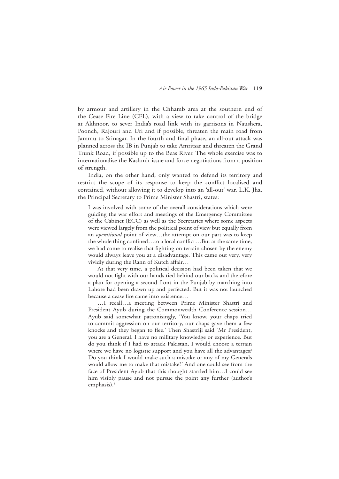by armour and artillery in the Chhamb area at the southern end of the Cease Fire Line (CFL), with a view to take control of the bridge at Akhnoor, to sever India's road link with its garrisons in Naushera, Poonch, Rajouri and Uri and if possible, threaten the main road from Jammu to Srinagar. In the fourth and final phase, an all-out attack was planned across the IB in Punjab to take Amritsar and threaten the Grand Trunk Road, if possible up to the Beas River. The whole exercise was to internationalise the Kashmir issue and force negotiations from a position of strength.

India, on the other hand, only wanted to defend its territory and restrict the scope of its response to keep the conflict localised and contained, without allowing it to develop into an 'all-out' war. L.K. Jha, the Principal Secretary to Prime Minister Shastri, states:

I was involved with some of the overall considerations which were guiding the war effort and meetings of the Emergency Committee of the Cabinet (ECC) as well as the Secretaries where some aspects were viewed largely from the political point of view but equally from an *operational* point of view…the attempt on our part was to keep the whole thing confined…to a local conflict…But at the same time, we had come to realise that fighting on terrain chosen by the enemy would always leave you at a disadvantage. This came out very, very vividly during the Rann of Kutch affair…

 At that very time, a political decision had been taken that we would not fight with our hands tied behind our backs and therefore a plan for opening a second front in the Punjab by marching into Lahore had been drawn up and perfected. But it was not launched because a cease fire came into existence…

 …I recall…a meeting between Prime Minister Shastri and President Ayub during the Commonwealth Conference session… Ayub said somewhat patronisingly, 'You know, your chaps tried to commit aggression on our territory, our chaps gave them a few knocks and they began to flee.' Then Shastriji said 'Mr President, you are a General. I have no military knowledge or experience. But do you think if I had to attack Pakistan, I would choose a terrain where we have no logistic support and you have all the advantages? Do you think I would make such a mistake or any of my Generals would allow me to make that mistake?' And one could see from the face of President Ayub that this thought startled him…I could see him visibly pause and not pursue the point any further (author's emphasis).<sup>8</sup>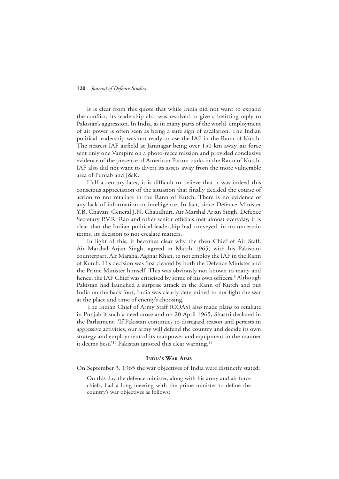It is clear from this quote that while India did not want to expand the conflict, its leadership also was resolved to give a befitting reply to Pakistan's aggression. In India, as in many parts of the world, employment of air power is often seen as being a sure sign of escalation. The Indian political leadership was not ready to use the IAF in the Rann of Kutch. The nearest IAF airfield at Jamnagar being over 150 km away, air force sent only one Vampire on a photo-recce mission and provided conclusive evidence of the presence of American Patton tanks in the Rann of Kutch. IAF also did not want to divert its assets away from the more vulnerable area of Punjab and J&K.

Half a century later, it is difficult to believe that it was indeed this conscious appreciation of the situation that finally decided the course of action to not retaliate in the Rann of Kutch. There is no evidence of any lack of information or intelligence. In fact, since Defence Minister Y.B. Chavan, General J.N. Chaudhuri, Air Marshal Arjan Singh, Defence Secretary P.V.R. Rao and other senior officials met almost everyday, it is clear that the Indian political leadership had conveyed, in no uncertain terms, its decision to not escalate matters.

In light of this, it becomes clear why the then Chief of Air Staff, Air Marshal Arjan Singh, agreed in March 1965, with his Pakistani counterpart, Air Marshal Asghar Khan, to not employ the IAF in the Rann of Kutch. His decision was first cleared by both the Defence Minister and the Prime Minister himself. This was obviously not known to many and hence, the IAF Chief was criticised by some of his own officers.<sup>9</sup> Although Pakistan had launched a surprise attack in the Rann of Kutch and put India on the back foot, India was clearly determined to not fight the war at the place and time of enemy's choosing.

The Indian Chief of Army Staff (COAS) also made plans to retaliate in Punjab if such a need arose and on 20 April 1965, Shastri declared in the Parliament, 'If Pakistan continues to disregard reason and persists in aggressive activities, our army will defend the country and decide its own strategy and employment of its manpower and equipment in the manner it deems best.'<sup>10</sup> Pakistan ignored this clear warning.<sup>11</sup>

#### **India's War Aims**

On September 3, 1965 the war objectives of India were distinctly stated:

On this day the defence minister, along with his army and air force chiefs, had a long meeting with the prime minister to define the country's war objectives as follows: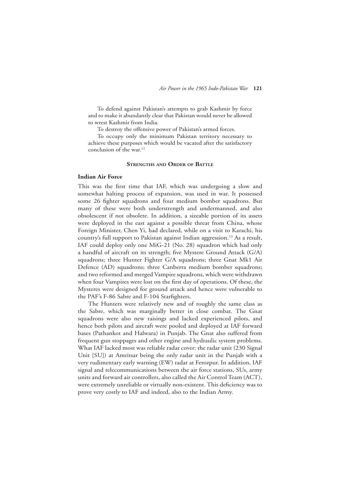To defend against Pakistan's attempts to grab Kashmir by force and to make it abundantly clear that Pakistan would never be allowed to wrest Kashmir from India.

To destroy the offensive power of Pakistan's armed forces.

 To occupy only the minimum Pakistan territory necessary to achieve these purposes which would be vacated after the satisfactory conclusion of the war.<sup>12</sup>

#### **Strengths and Order of Battle**

#### **Indian Air Force**

This was the first time that IAF, which was undergoing a slow and somewhat halting process of expansion, was used in war. It possessed some 26 fighter squadrons and four medium bomber squadrons. But many of these were both understrength and undermanned, and also obsolescent if not obsolete. In addition, a sizeable portion of its assets were deployed in the east against a possible threat from China, whose Foreign Minister, Chen Yi, had declared, while on a visit to Karachi, his country's full support to Pakistan against Indian aggression.<sup>13</sup> As a result, IAF could deploy only one MiG-21 (No. 28) squadron which had only a handful of aircraft on its strength; five Mystere Ground Attack (G/A) squadrons; three Hunter Fighter G/A squadrons; three Gnat Mk1 Air Defence (AD) squadrons; three Canberra medium bomber squadrons; and two reformed and merged Vampire squadrons, which were withdrawn when four Vampires were lost on the first day of operations. Of these, the Mysteres were designed for ground attack and hence were vulnerable to the PAF's F-86 Sabre and F-104 Starfighters.

The Hunters were relatively new and of roughly the same class as the Sabre, which was marginally better in close combat. The Gnat squadrons were also new raisings and lacked experienced pilots, and hence both pilots and aircraft were pooled and deployed at IAF forward bases (Pathankot and Halwara) in Punjab. The Gnat also suffered from frequent gun stoppages and other engine and hydraulic system problems. What IAF lacked most was reliable radar cover: the radar unit (230 Signal Unit [SU]) at Amritsar being the only radar unit in the Punjab with a very rudimentary early warning (EW) radar at Ferozpur. In addition, IAF signal and telecommunications between the air force stations, SUs, army units and forward air controllers, also called the Air Control Team (ACT), were extremely unreliable or virtually non-existent. This deficiency was to prove very costly to IAF and indeed, also to the Indian Army.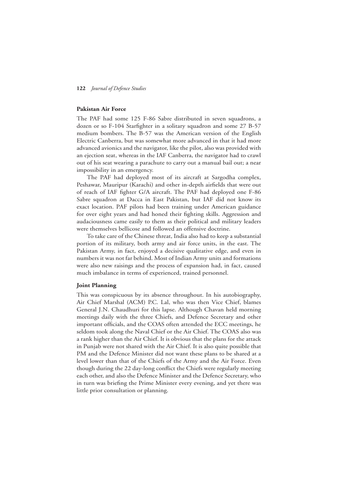#### **Pakistan Air Force**

The PAF had some 125 F-86 Sabre distributed in seven squadrons, a dozen or so F-104 Starfighter in a solitary squadron and some 27 B-57 medium bombers. The B-57 was the American version of the English Electric Canberra, but was somewhat more advanced in that it had more advanced avionics and the navigator, like the pilot, also was provided with an ejection seat, whereas in the IAF Canberra, the navigator had to crawl out of his seat wearing a parachute to carry out a manual bail out; a near impossibility in an emergency.

The PAF had deployed most of its aircraft at Sargodha complex, Peshawar, Mauripur (Karachi) and other in-depth airfields that were out of reach of IAF fighter G/A aircraft. The PAF had deployed one F-86 Sabre squadron at Dacca in East Pakistan, but IAF did not know its exact location. PAF pilots had been training under American guidance for over eight years and had honed their fighting skills. Aggression and audaciousness came easily to them as their political and military leaders were themselves bellicose and followed an offensive doctrine.

To take care of the Chinese threat, India also had to keep a substantial portion of its military, both army and air force units, in the east. The Pakistan Army, in fact, enjoyed a decisive qualitative edge, and even in numbers it was not far behind. Most of Indian Army units and formations were also new raisings and the process of expansion had, in fact, caused much imbalance in terms of experienced, trained personnel.

#### **Joint Planning**

This was conspicuous by its absence throughout. In his autobiography, Air Chief Marshal (ACM) P.C. Lal, who was then Vice Chief, blames General J.N. Chaudhuri for this lapse. Although Chavan held morning meetings daily with the three Chiefs, and Defence Secretary and other important officials, and the COAS often attended the ECC meetings, he seldom took along the Naval Chief or the Air Chief. The COAS also was a rank higher than the Air Chief. It is obvious that the plans for the attack in Punjab were not shared with the Air Chief. It is also quite possible that PM and the Defence Minister did not want these plans to be shared at a level lower than that of the Chiefs of the Army and the Air Force. Even though during the 22 day-long conflict the Chiefs were regularly meeting each other, and also the Defence Minister and the Defence Secretary, who in turn was briefing the Prime Minister every evening, and yet there was little prior consultation or planning.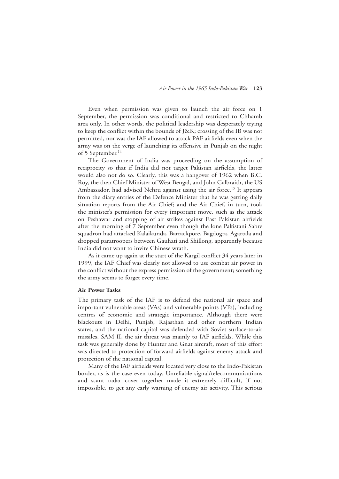Even when permission was given to launch the air force on 1 September, the permission was conditional and restricted to Chhamb area only. In other words, the political leadership was desperately trying to keep the conflict within the bounds of J&K; crossing of the IB was not permitted, nor was the IAF allowed to attack PAF airfields even when the army was on the verge of launching its offensive in Punjab on the night of 5 September.<sup>14</sup>

The Government of India was proceeding on the assumption of reciprocity so that if India did not target Pakistan airfields, the latter would also not do so. Clearly, this was a hangover of 1962 when B.C. Roy, the then Chief Minister of West Bengal, and John Galbraith, the US Ambassador, had advised Nehru against using the air force.<sup>15</sup> It appears from the diary entries of the Defence Minister that he was getting daily situation reports from the Air Chief; and the Air Chief, in turn, took the minister's permission for every important move, such as the attack on Peshawar and stopping of air strikes against East Pakistan airfields after the morning of 7 September even though the lone Pakistani Sabre squadron had attacked Kalaikunda, Barrackpore, Bagdogra, Agartala and dropped paratroopers between Gauhati and Shillong, apparently because India did not want to invite Chinese wrath.

As it came up again at the start of the Kargil conflict 34 years later in 1999, the IAF Chief was clearly not allowed to use combat air power in the conflict without the express permission of the government; something the army seems to forget every time.

#### **Air Power Tasks**

The primary task of the IAF is to defend the national air space and important vulnerable areas (VAs) and vulnerable points (VPs), including centres of economic and strategic importance. Although there were blackouts in Delhi, Punjab, Rajasthan and other northern Indian states, and the national capital was defended with Soviet surface-to-air missiles, SAM II, the air threat was mainly to IAF airfields. While this task was generally done by Hunter and Gnat aircraft, most of this effort was directed to protection of forward airfields against enemy attack and protection of the national capital.

Many of the IAF airfields were located very close to the Indo-Pakistan border, as is the case even today. Unreliable signal/telecommunications and scant radar cover together made it extremely difficult, if not impossible, to get any early warning of enemy air activity. This serious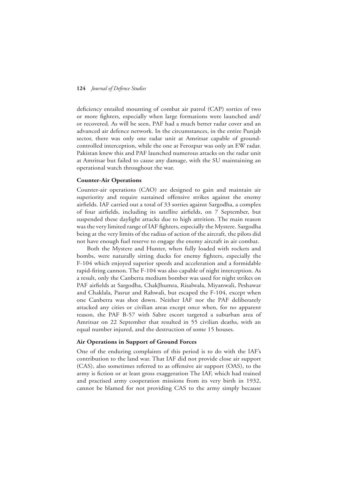deficiency entailed mounting of combat air patrol (CAP) sorties of two or more fighters, especially when large formations were launched and/ or recovered. As will be seen, PAF had a much better radar cover and an advanced air defence network. In the circumstances, in the entire Punjab sector, there was only one radar unit at Amritsar capable of groundcontrolled interception, while the one at Ferozpur was only an EW radar. Pakistan knew this and PAF launched numerous attacks on the radar unit at Amritsar but failed to cause any damage, with the SU maintaining an operational watch throughout the war.

#### **Counter-Air Operations**

Counter-air operations (CAO) are designed to gain and maintain air superiority and require sustained offensive strikes against the enemy airfields. IAF carried out a total of 33 sorties against Sargodha, a complex of four airfields, including its satellite airfields, on 7 September, but suspended these daylight attacks due to high attrition. The main reason was the very limited range of IAF fighters, especially the Mystere. Sargodha being at the very limits of the radius of action of the aircraft, the pilots did not have enough fuel reserve to engage the enemy aircraft in air combat.

Both the Mystere and Hunter, when fully loaded with rockets and bombs, were naturally sitting ducks for enemy fighters, especially the F-104 which enjoyed superior speeds and acceleration and a formidable rapid-firing cannon. The F-104 was also capable of night interception. As a result, only the Canberra medium bomber was used for night strikes on PAF airfields at Sargodha, ChakJhumra, Risalwala, Miyanwali, Peshawar and Chaklala, Pasrur and Rahwali, but escaped the F-104, except when one Canberra was shot down. Neither IAF nor the PAF deliberately attacked any cities or civilian areas except once when, for no apparent reason, the PAF B-57 with Sabre escort targeted a suburban area of Amritsar on 22 September that resulted in 55 civilian deaths, with an equal number injured, and the destruction of some 15 houses.

#### **Air Operations in Support of Ground Forces**

One of the enduring complaints of this period is to do with the IAF's contribution to the land war. That IAF did not provide close air support (CAS), also sometimes referred to as offensive air support (OAS), to the army is fiction or at least gross exaggeration The IAF, which had trained and practised army cooperation missions from its very birth in 1932, cannot be blamed for not providing CAS to the army simply because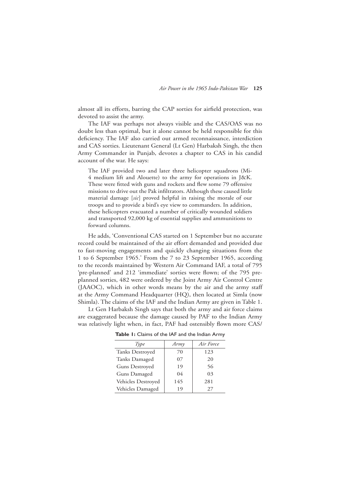almost all its efforts, barring the CAP sorties for airfield protection, was devoted to assist the army.

The IAF was perhaps not always visible and the CAS/OAS was no doubt less than optimal, but it alone cannot be held responsible for this deficiency. The IAF also carried out armed reconnaissance, interdiction and CAS sorties. Lieutenant General (Lt Gen) Harbaksh Singh, the then Army Commander in Punjab, devotes a chapter to CAS in his candid account of the war. He says:

The IAF provided two and later three helicopter squadrons (Mi-4 medium lift and Alouette) to the army for operations in J&K. These were fitted with guns and rockets and flew some 79 offensive missions to drive out the Pak infiltrators. Although these caused little material damage [*sic*] proved helpful in raising the morale of our troops and to provide a bird's eye view to commanders. In addition, these helicopters evacuated a number of critically wounded soldiers and transported 92,000 kg of essential supplies and ammunitions to forward columns.

He adds, 'Conventional CAS started on 1 September but no accurate record could be maintained of the air effort demanded and provided due to fast-moving engagements and quickly changing situations from the 1 to 6 September 1965.' From the 7 to 23 September 1965, according to the records maintained by Western Air Command IAF, a total of 795 'pre-planned' and 212 'immediate' sorties were flown; of the 795 preplanned sorties, 482 were ordered by the Joint Army Air Control Centre (JAAOC), which in other words means by the air and the army staff at the Army Command Headquarter (HQ), then located at Simla (now Shimla). The claims of the IAF and the Indian Army are given in Table 1.

Lt Gen Harbaksh Singh says that both the army and air force claims are exaggerated because the damage caused by PAF to the Indian Army was relatively light when, in fact, PAF had ostensibly flown more CAS/

| Type                  | Army           | Air Force |
|-----------------------|----------------|-----------|
| Tanks Destroyed       | 70             | 123       |
| Tanks Damaged         | 07             | 20        |
| <b>Guns Destroyed</b> | 19             | 56        |
| Guns Damaged          | 0 <sub>4</sub> | 03        |
| Vehicles Destroyed    | 145            | 281       |
| Vehicles Damaged      | 19             | 27        |

**Table 1:** Claims of the IAF and the Indian Army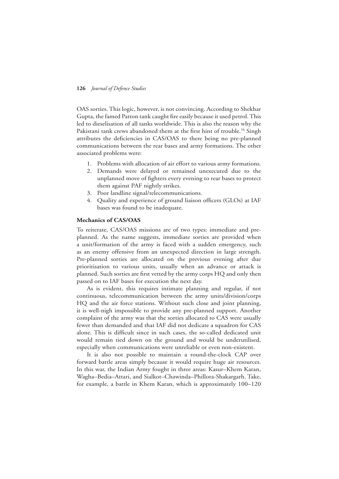OAS sorties. This logic, however, is not convincing. According to Shekhar Gupta, the famed Patton tank caught fire easily because it used petrol. This led to dieselisation of all tanks worldwide. This is also the reason why the Pakistani tank crews abandoned them at the first hint of trouble.<sup>16</sup> Singh attributes the deficiencies in CAS/OAS to there being no pre-planned communications between the rear bases and army formations. The other associated problems were:

- 1. Problems with allocation of air effort to various army formations.
- 2. Demands were delayed or remained unexecuted due to the unplanned move of fighters every evening to rear bases to protect them against PAF nightly strikes.
- 3. Poor landline signal/telecommunications.
- 4. Quality and experience of ground liaison officers (GLOs) at IAF bases was found to be inadequate.

#### **Mechanics of CAS/OAS**

To reiterate, CAS/OAS missions are of two types: immediate and preplanned. As the name suggests, immediate sorties are provided when a unit/formation of the army is faced with a sudden emergency, such as an enemy offensive from an unexpected direction in large strength. Pre-planned sorties are allocated on the previous evening after due prioritisation to various units, usually when an advance or attack is planned. Such sorties are first vetted by the army corps HQ and only then passed on to IAF bases for execution the next day.

As is evident, this requires intimate planning and regular, if not continuous, telecommunication between the army units/division/corps HQ and the air force stations. Without such close and joint planning, it is well-nigh impossible to provide any pre-planned support. Another complaint of the army was that the sorties allocated to CAS were usually fewer than demanded and that IAF did not dedicate a squadron for CAS alone. This is difficult since in such cases, the so-called dedicated unit would remain tied down on the ground and would be underutilised, especially when communications were unreliable or even non-existent.

It is also not possible to maintain a round-the-clock CAP over forward battle areas simply because it would require huge air resources. In this war, the Indian Army fought in three areas: Kasur–Khem Karan, Wagha–Bedia–Attari, and Sialkot–Chawinda–Phillora-Shakargarh. Take, for example, a battle in Khem Karan, which is approximately 100–120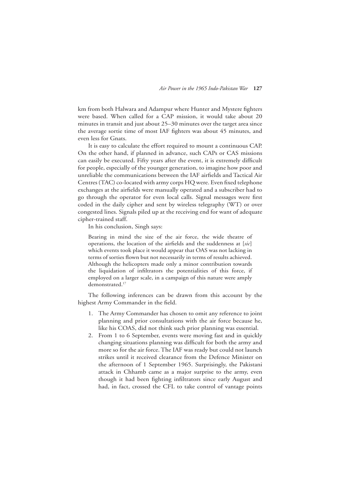km from both Halwara and Adampur where Hunter and Mystere fighters were based. When called for a CAP mission, it would take about 20 minutes in transit and just about 25–30 minutes over the target area since the average sortie time of most IAF fighters was about 45 minutes, and even less for Gnats.

It is easy to calculate the effort required to mount a continuous CAP. On the other hand, if planned in advance, such CAPs or CAS missions can easily be executed. Fifty years after the event, it is extremely difficult for people, especially of the younger generation, to imagine how poor and unreliable the communications between the IAF airfields and Tactical Air Centres (TAC) co-located with army corps HQ were. Even fixed telephone exchanges at the airfields were manually operated and a subscriber had to go through the operator for even local calls. Signal messages were first coded in the daily cipher and sent by wireless telegraphy (WT) or over congested lines. Signals piled up at the receiving end for want of adequate cipher-trained staff.

In his conclusion, Singh says:

Bearing in mind the size of the air force, the wide theatre of operations, the location of the airfields and the suddenness at [*sic*] which events took place it would appear that OAS was not lacking in terms of sorties flown but not necessarily in terms of results achieved. Although the helicopters made only a minor contribution towards the liquidation of infiltrators the potentialities of this force, if employed on a larger scale, in a campaign of this nature were amply demonstrated.17

The following inferences can be drawn from this account by the highest Army Commander in the field.

- 1. The Army Commander has chosen to omit any reference to joint planning and prior consultations with the air force because he, like his COAS, did not think such prior planning was essential.
- 2. From 1 to 6 September, events were moving fast and in quickly changing situations planning was difficult for both the army and more so for the air force. The IAF was ready but could not launch strikes until it received clearance from the Defence Minister on the afternoon of 1 September 1965. Surprisingly, the Pakistani attack in Chhamb came as a major surprise to the army, even though it had been fighting infiltrators since early August and had, in fact, crossed the CFL to take control of vantage points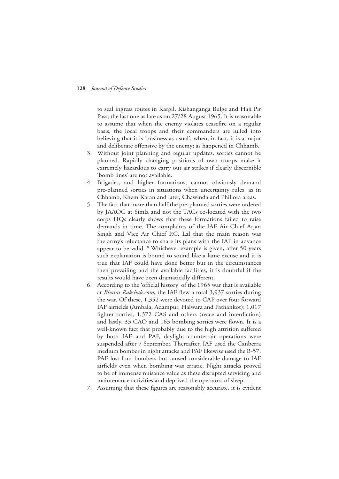to seal ingress routes in Kargil, Kishanganga Bulge and Haji Pir Pass; the last one as late as on 27/28 August 1965. It is reasonable to assume that when the enemy violates ceasefire on a regular basis, the local troops and their commanders are lulled into believing that it is 'business as usual', when, in fact, it is a major and deliberate offensive by the enemy; as happened in Chhamb.

- 3. Without joint planning and regular updates, sorties cannot be planned. Rapidly changing positions of own troops make it extremely hazardous to carry out air strikes if clearly discernible 'bomb lines' are not available.
- 4. Brigades, and higher formations, cannot obviously demand pre-planned sorties in situations when uncertainty rules, as in Chhamb, Khem Karan and later, Chawinda and Phillora areas.
- 5. The fact that more than half the pre-planned sorties were ordered by JAAOC at Simla and not the TACs co-located with the two corps HQs clearly shows that these formations failed to raise demands in time. The complaints of the IAF Air Chief Arjan Singh and Vice Air Chief P.C. Lal that the main reason was the army's reluctance to share its plans with the IAF in advance appear to be valid.18 Whichever example is given, after 50 years such explanation is bound to sound like a lame excuse and it is true that IAF could have done better but in the circumstances then prevailing and the available facilities, it is doubtful if the results would have been dramatically different.
- 6. According to the 'official history' of the 1965 war that is available at *Bharat Rakshak.com*, the IAF flew a total 3,937 sorties during the war. Of these, 1,352 were devoted to CAP over four forward IAF airfields (Ambala, Adampur, Halwara and Pathankot); 1,017 fighter sorties, 1,372 CAS and others (recce and interdiction) and lastly, 33 CAO and 163 bombing sorties were flown. It is a well-known fact that probably due to the high attrition suffered by both IAF and PAF, daylight counter-air operations were suspended after 7 September. Thereafter, IAF used the Canberra medium bomber in night attacks and PAF likewise used the B-57. PAF lost four bombers but caused considerable damage to IAF airfields even when bombing was erratic. Night attacks proved to be of immense nuisance value as these disrupted servicing and maintenance activities and deprived the operators of sleep.
- 7. Assuming that these figures are reasonably accurate, it is evident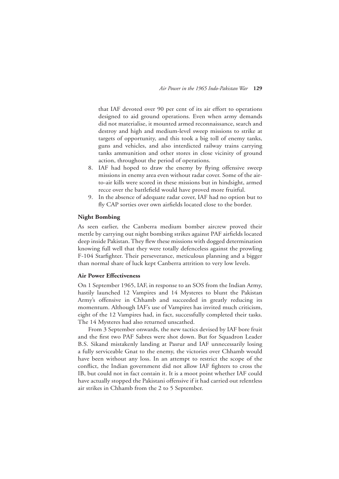that IAF devoted over 90 per cent of its air effort to operations designed to aid ground operations. Even when army demands did not materialise, it mounted armed reconnaissance, search and destroy and high and medium-level sweep missions to strike at targets of opportunity, and this took a big toll of enemy tanks, guns and vehicles, and also interdicted railway trains carrying tanks ammunition and other stores in close vicinity of ground action, throughout the period of operations.

- 8. IAF had hoped to draw the enemy by flying offensive sweep missions in enemy area even without radar cover. Some of the airto-air kills were scored in these missions but in hindsight, armed recce over the battlefield would have proved more fruitful.
- 9. In the absence of adequate radar cover, IAF had no option but to fly CAP sorties over own airfields located close to the border.

#### **Night Bombing**

As seen earlier, the Canberra medium bomber aircrew proved their mettle by carrying out night bombing strikes against PAF airfields located deep inside Pakistan. They flew these missions with dogged determination knowing full well that they were totally defenceless against the prowling F-104 Starfighter. Their perseverance, meticulous planning and a bigger than normal share of luck kept Canberra attrition to very low levels.

#### **Air Power Effectiveness**

On 1 September 1965, IAF, in response to an SOS from the Indian Army, hastily launched 12 Vampires and 14 Mysteres to blunt the Pakistan Army's offensive in Chhamb and succeeded in greatly reducing its momentum. Although IAF's use of Vampires has invited much criticism, eight of the 12 Vampires had, in fact, successfully completed their tasks. The 14 Mysteres had also returned unscathed.

From 3 September onwards, the new tactics devised by IAF bore fruit and the first two PAF Sabres were shot down. But for Squadron Leader B.S. Sikand mistakenly landing at Pasrur and IAF unnecessarily losing a fully serviceable Gnat to the enemy, the victories over Chhamb would have been without any loss. In an attempt to restrict the scope of the conflict, the Indian government did not allow IAF fighters to cross the IB, but could not in fact contain it. It is a moot point whether IAF could have actually stopped the Pakistani offensive if it had carried out relentless air strikes in Chhamb from the 2 to 5 September.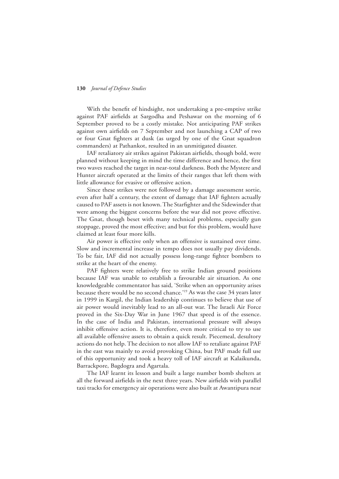With the benefit of hindsight, not undertaking a pre-emptive strike against PAF airfields at Sargodha and Peshawar on the morning of 6 September proved to be a costly mistake. Not anticipating PAF strikes against own airfields on 7 September and not launching a CAP of two or four Gnat fighters at dusk (as urged by one of the Gnat squadron commanders) at Pathankot, resulted in an unmitigated disaster.

IAF retaliatory air strikes against Pakistan airfields, though bold, were planned without keeping in mind the time difference and hence, the first two waves reached the target in near-total darkness. Both the Mystere and Hunter aircraft operated at the limits of their ranges that left them with little allowance for evasive or offensive action.

Since these strikes were not followed by a damage assessment sortie, even after half a century, the extent of damage that IAF fighters actually caused to PAF assets is not known. The Starfighter and the Sidewinder that were among the biggest concerns before the war did not prove effective. The Gnat, though beset with many technical problems, especially gun stoppage, proved the most effective; and but for this problem, would have claimed at least four more kills.

Air power is effective only when an offensive is sustained over time. Slow and incremental increase in tempo does not usually pay dividends. To be fair, IAF did not actually possess long-range fighter bombers to strike at the heart of the enemy.

PAF fighters were relatively free to strike Indian ground positions because IAF was unable to establish a favourable air situation. As one knowledgeable commentator has said, 'Strike when an opportunity arises because there would be no second chance.'19 As was the case 34 years later in 1999 in Kargil, the Indian leadership continues to believe that use of air power would inevitably lead to an all-out war. The Israeli Air Force proved in the Six-Day War in June 1967 that speed is of the essence. In the case of India and Pakistan, international pressure will always inhibit offensive action. It is, therefore, even more critical to try to use all available offensive assets to obtain a quick result. Piecemeal, desultory actions do not help. The decision to not allow IAF to retaliate against PAF in the east was mainly to avoid provoking China, but PAF made full use of this opportunity and took a heavy toll of IAF aircraft at Kalaikunda, Barrackpore, Bagdogra and Agartala.

The IAF learnt its lesson and built a large number bomb shelters at all the forward airfields in the next three years. New airfields with parallel taxi tracks for emergency air operations were also built at Awantipura near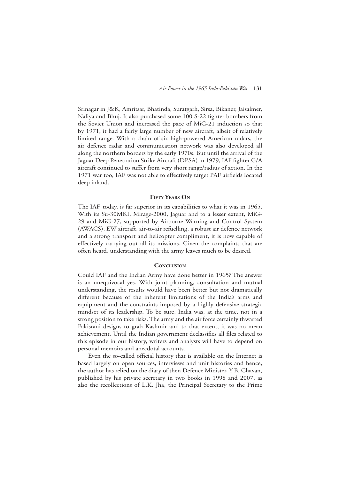Srinagar in J&K, Amritsar, Bhatinda, Suratgarh, Sirsa, Bikaner, Jaisalmer, Naliya and Bhuj. It also purchased some 100 S-22 fighter bombers from the Soviet Union and increased the pace of MiG-21 induction so that by 1971, it had a fairly large number of new aircraft, albeit of relatively limited range. With a chain of six high-powered American radars, the air defence radar and communication network was also developed all along the northern borders by the early 1970s. But until the arrival of the Jaguar Deep Penetration Strike Aircraft (DPSA) in 1979, IAF fighter G/A aircraft continued to suffer from very short range/radius of action. In the 1971 war too, IAF was not able to effectively target PAF airfields located deep inland.

#### **Fifty Years On**

The IAF, today, is far superior in its capabilities to what it was in 1965. With its Su-30MKI, Mirage-2000, Jaguar and to a lesser extent, MiG-29 and MiG-27, supported by Airborne Warning and Control System (AWACS), EW aircraft, air-to-air refuelling, a robust air defence network and a strong transport and helicopter compliment, it is now capable of effectively carrying out all its missions. Given the complaints that are often heard, understanding with the army leaves much to be desired.

#### **Conclusion**

Could IAF and the Indian Army have done better in 1965? The answer is an unequivocal yes. With joint planning, consultation and mutual understanding, the results would have been better but not dramatically different because of the inherent limitations of the India's arms and equipment and the constraints imposed by a highly defensive strategic mindset of its leadership. To be sure, India was, at the time, not in a strong position to take risks. The army and the air force certainly thwarted Pakistani designs to grab Kashmir and to that extent, it was no mean achievement. Until the Indian government declassifies all files related to this episode in our history, writers and analysts will have to depend on personal memoirs and anecdotal accounts.

Even the so-called official history that is available on the Internet is based largely on open sources, interviews and unit histories and hence, the author has relied on the diary of then Defence Minister, Y.B. Chavan, published by his private secretary in two books in 1998 and 2007, as also the recollections of L.K. Jha, the Principal Secretary to the Prime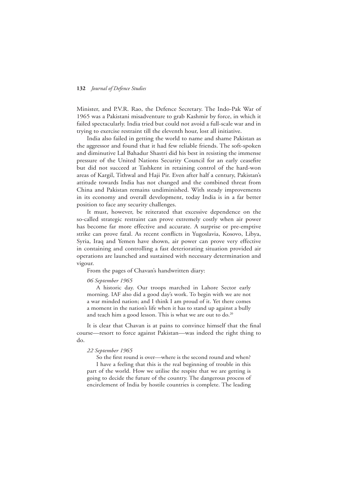Minister, and P.V.R. Rao, the Defence Secretary. The Indo-Pak War of 1965 was a Pakistani misadventure to grab Kashmir by force, in which it failed spectacularly. India tried but could not avoid a full-scale war and in trying to exercise restraint till the eleventh hour, lost all initiative.

India also failed in getting the world to name and shame Pakistan as the aggressor and found that it had few reliable friends. The soft-spoken and diminutive Lal Bahadur Shastri did his best in resisting the immense pressure of the United Nations Security Council for an early ceasefire but did not succeed at Tashkent in retaining control of the hard-won areas of Kargil, Tithwal and Haji Pir. Even after half a century, Pakistan's attitude towards India has not changed and the combined threat from China and Pakistan remains undiminished. With steady improvements in its economy and overall development, today India is in a far better position to face any security challenges.

It must, however, be reiterated that excessive dependence on the so-called strategic restraint can prove extremely costly when air power has become far more effective and accurate. A surprise or pre-emptive strike can prove fatal. As recent conflicts in Yugoslavia, Kosovo, Libya, Syria, Iraq and Yemen have shown, air power can prove very effective in containing and controlling a fast deteriorating situation provided air operations are launched and sustained with necessary determination and vigour.

From the pages of Chavan's handwritten diary:

#### *06 September 1965*

 A historic day. Our troops marched in Lahore Sector early morning. IAF also did a good day's work. To begin with we are not a war minded nation; and I think I am proud of it. Yet there comes a moment in the nation's life when it has to stand up against a bully and teach him a good lesson. This is what we are out to do.<sup>20</sup>

It is clear that Chavan is at pains to convince himself that the final course—resort to force against Pakistan—was indeed the right thing to do.

#### *22 September 1965*

 So the first round is over—where is the second round and when? I have a feeling that this is the real beginning of trouble in this part of the world. How we utilise the respite that we are getting is going to decide the future of the country. The dangerous process of encirclement of India by hostile countries is complete. The leading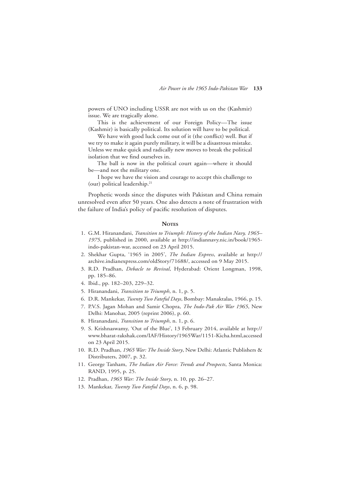powers of UNO including USSR are not with us on the (Kashmir) issue. We are tragically alone.

 This is the achievement of our Foreign Policy—The issue (Kashmir) is basically political. Its solution will have to be political.

 We have with good luck come out of it (the conflict) well. But if we try to make it again purely military, it will be a disastrous mistake. Unless we make quick and radically new moves to break the political isolation that we find ourselves in.

 The ball is now in the political court again—where it should be—and not the military one.

 I hope we have the vision and courage to accept this challenge to (our) political leadership.<sup>21</sup>

Prophetic words since the disputes with Pakistan and China remain unresolved even after 50 years. One also detects a note of frustration with the failure of India's policy of pacific resolution of disputes.

#### **NOTES**

- 1. G.M. Hiranandani, *Transition to Triumph: History of the Indian Navy, 1965– 1975*, published in 2000, available at http://indiannavy.nic.in/book/1965 indo-pakistan-war, accessed on 23 April 2015.
- 2. Shekhar Gupta, '1965 in 2005', *The Indian Express*, available at http:// archive.indianexpress.com/oldStory/71688/, accessed on 9 May 2015.
- 3. R.D. Pradhan, *Debacle to Revival*, Hyderabad: Orient Longman, 1998, pp. 185–86.
- 4. Ibid., pp. 182–203, 229–32.
- 5. Hiranandani, *Transition to Triumph*, n. 1, p. 5.
- 6. D.R. Mankekar, *Twenty Two Fateful Days*, Bombay: Manaktalas, 1966, p. 15.
- 7. P.V.S. Jagan Mohan and Samir Chopra, *The Indo-Pak Air War 1965*, New Delhi: Manohar, 2005 (reprint 2006), p. 60.
- 8. Hiranandani, *Transition to Triumph*, n. 1, p. 6.
- 9. S. Krishnaswamy, 'Out of the Blue', 13 February 2014, available at http:// www.bharat-rakshak.com/IAF/History/1965War/1151-Kicha.html,accessed on 23 April 2015.
- 10. R.D. Pradhan, *1965 War: The Inside Story*, New Delhi: Atlantic Publishers & Distributers, 2007, p. 32.
- 11. George Tanham, *The Indian Air Force: Trends and Prospects*, Santa Monica: RAND, 1995, p. 25.
- 12. Pradhan, *1965 War: The Inside Story*, n. 10, pp. 26–27.
- 13. Mankekar, *Twenty Two Fateful Days*, n. 6, p. 98.